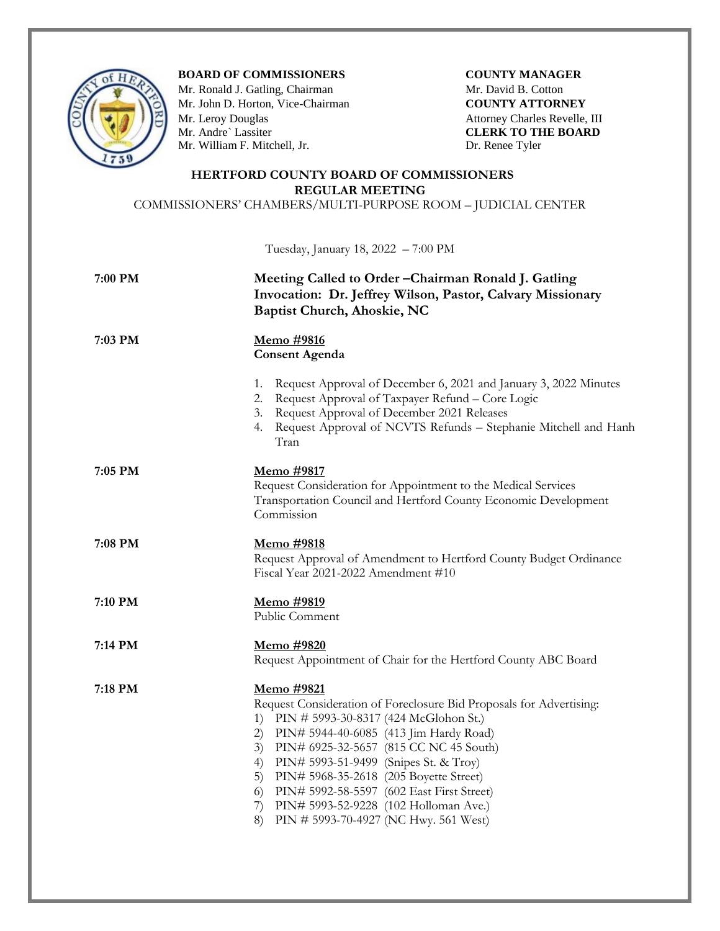

**BOARD OF COMMISSIONERS COUNTY MANAGER** 

Mr. Ronald J. Gatling, Chairman **Mr. David B. Cotton** Mr. John D. Horton, Vice-Chairman **COUNTY ATTORNEY**<br>
Mr. Leroy Douglas Attorney Charles Revelle,<br>
Mr. Andre` Lassiter **CLERK TO THE BOAR** Mr. William F. Mitchell, Jr. Dr. Renee Tyler

Attorney Charles Revelle, III **CLERK TO THE BOARD** 

## **HERTFORD COUNTY BOARD OF COMMISSIONERS REGULAR MEETING**

COMMISSIONERS' CHAMBERS/MULTI-PURPOSE ROOM – JUDICIAL CENTER

Tuesday, January 18, 2022 – 7:00 PM

| 7:00 PM | Meeting Called to Order-Chairman Ronald J. Gatling<br>Invocation: Dr. Jeffrey Wilson, Pastor, Calvary Missionary<br>Baptist Church, Ahoskie, NC                                                                                                                                                                                                                                                                                                                                |
|---------|--------------------------------------------------------------------------------------------------------------------------------------------------------------------------------------------------------------------------------------------------------------------------------------------------------------------------------------------------------------------------------------------------------------------------------------------------------------------------------|
| 7:03 PM | <u>Memo #9816</u><br><b>Consent Agenda</b>                                                                                                                                                                                                                                                                                                                                                                                                                                     |
|         | Request Approval of December 6, 2021 and January 3, 2022 Minutes<br>1.<br>Request Approval of Taxpayer Refund - Core Logic<br>2.<br>3. Request Approval of December 2021 Releases<br>4. Request Approval of NCVTS Refunds - Stephanie Mitchell and Hanh<br>Tran                                                                                                                                                                                                                |
| 7:05 PM | <u>Memo #9817</u><br>Request Consideration for Appointment to the Medical Services<br>Transportation Council and Hertford County Economic Development<br>Commission                                                                                                                                                                                                                                                                                                            |
| 7:08 PM | <u>Memo #9818</u><br>Request Approval of Amendment to Hertford County Budget Ordinance<br>Fiscal Year 2021-2022 Amendment #10                                                                                                                                                                                                                                                                                                                                                  |
| 7:10 PM | Memo #9819<br>Public Comment                                                                                                                                                                                                                                                                                                                                                                                                                                                   |
| 7:14 PM | <u>Memo</u> #9820<br>Request Appointment of Chair for the Hertford County ABC Board                                                                                                                                                                                                                                                                                                                                                                                            |
| 7:18 PM | <u>Memo #9821</u><br>Request Consideration of Foreclosure Bid Proposals for Advertising:<br>1) PIN # 5993-30-8317 (424 McGlohon St.)<br>2) PIN# 5944-40-6085 (413 Jim Hardy Road)<br>PIN# 6925-32-5657 (815 CC NC 45 South)<br>3)<br>PIN# 5993-51-9499 (Snipes St. & Troy)<br>4)<br>PIN# 5968-35-2618 (205 Boyette Street)<br>5)<br>PIN# 5992-58-5597 (602 East First Street)<br>6)<br>7) PIN# 5993-52-9228 (102 Holloman Ave.)<br>PIN # 5993-70-4927 (NC Hwy. 561 West)<br>8) |